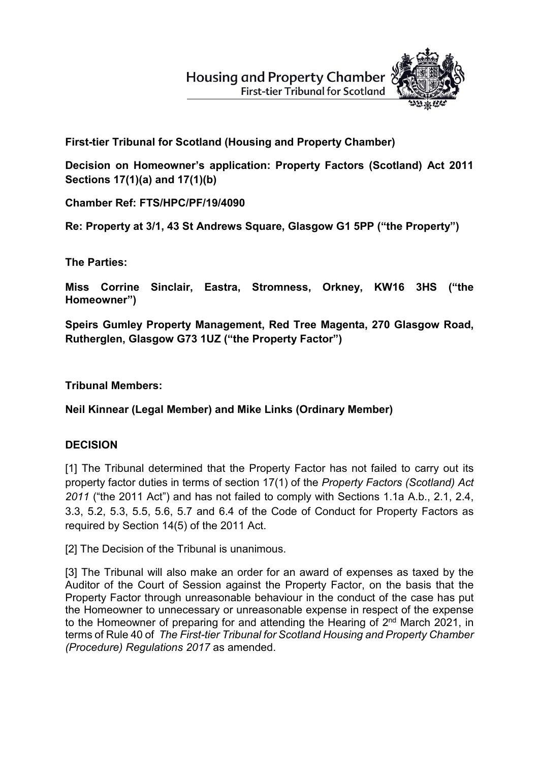# **Housing and Property Chamber First-tier Tribunal for Scotland**



**First-tier Tribunal for Scotland (Housing and Property Chamber)** 

**Decision on Homeowner's application: Property Factors (Scotland) Act 2011 Sections 17(1)(a) and 17(1)(b)**

**Chamber Ref: FTS/HPC/PF/19/4090** 

**Re: Property at 3/1, 43 St Andrews Square, Glasgow G1 5PP ("the Property")**

**The Parties:**

**Miss Corrine Sinclair, Eastra, Stromness, Orkney, KW16 3HS ("the Homeowner")** 

**Speirs Gumley Property Management, Red Tree Magenta, 270 Glasgow Road, Rutherglen, Glasgow G73 1UZ ("the Property Factor")** 

**Tribunal Members:**

**Neil Kinnear (Legal Member) and Mike Links (Ordinary Member)**

# **DECISION**

[1] The Tribunal determined that the Property Factor has not failed to carry out its property factor duties in terms of section 17(1) of the *Property Factors (Scotland) Act 2011* ("the 2011 Act") and has not failed to comply with Sections 1.1a A.b., 2.1, 2.4, 3.3, 5.2, 5.3, 5.5, 5.6, 5.7 and 6.4 of the Code of Conduct for Property Factors as required by Section 14(5) of the 2011 Act.

[2] The Decision of the Tribunal is unanimous.

[3] The Tribunal will also make an order for an award of expenses as taxed by the Auditor of the Court of Session against the Property Factor, on the basis that the Property Factor through unreasonable behaviour in the conduct of the case has put the Homeowner to unnecessary or unreasonable expense in respect of the expense to the Homeowner of preparing for and attending the Hearing of 2<sup>nd</sup> March 2021, in terms of Rule 40 of *The First-tier Tribunal for Scotland Housing and Property Chamber (Procedure) Regulations 2017* as amended.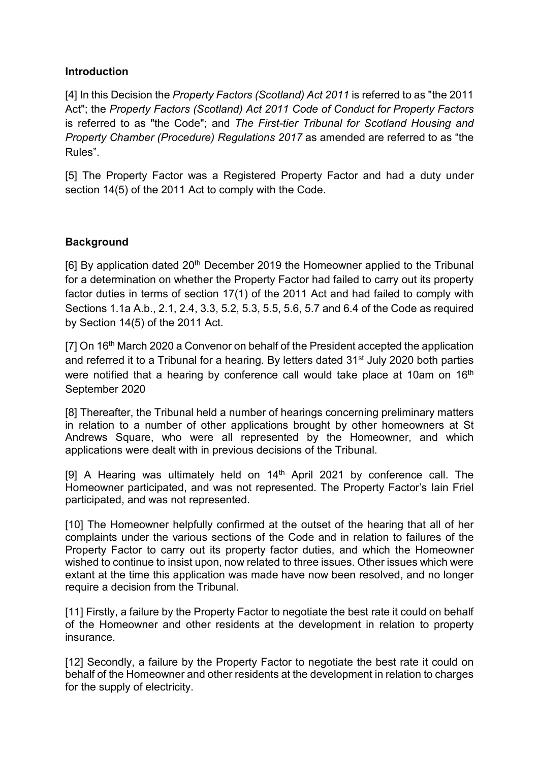#### **Introduction**

[4] In this Decision the *Property Factors (Scotland) Act 2011* is referred to as "the 2011 Act"; the *Property Factors (Scotland) Act 2011 Code of Conduct for Property Factors* is referred to as "the Code"; and *The First-tier Tribunal for Scotland Housing and Property Chamber (Procedure) Regulations 2017* as amended are referred to as "the Rules".

[5] The Property Factor was a Registered Property Factor and had a duty under section 14(5) of the 2011 Act to comply with the Code.

## **Background**

[6] By application dated 20th December 2019 the Homeowner applied to the Tribunal for a determination on whether the Property Factor had failed to carry out its property factor duties in terms of section 17(1) of the 2011 Act and had failed to comply with Sections 1.1a A.b., 2.1, 2.4, 3.3, 5.2, 5.3, 5.5, 5.6, 5.7 and 6.4 of the Code as required by Section 14(5) of the 2011 Act.

[7] On 16<sup>th</sup> March 2020 a Convenor on behalf of the President accepted the application and referred it to a Tribunal for a hearing. By letters dated 31<sup>st</sup> July 2020 both parties were notified that a hearing by conference call would take place at 10am on 16<sup>th</sup> September 2020

[8] Thereafter, the Tribunal held a number of hearings concerning preliminary matters in relation to a number of other applications brought by other homeowners at St Andrews Square, who were all represented by the Homeowner, and which applications were dealt with in previous decisions of the Tribunal.

[9] A Hearing was ultimately held on 14<sup>th</sup> April 2021 by conference call. The Homeowner participated, and was not represented. The Property Factor's Iain Friel participated, and was not represented.

[10] The Homeowner helpfully confirmed at the outset of the hearing that all of her complaints under the various sections of the Code and in relation to failures of the Property Factor to carry out its property factor duties, and which the Homeowner wished to continue to insist upon, now related to three issues. Other issues which were extant at the time this application was made have now been resolved, and no longer require a decision from the Tribunal.

[11] Firstly, a failure by the Property Factor to negotiate the best rate it could on behalf of the Homeowner and other residents at the development in relation to property insurance.

[12] Secondly, a failure by the Property Factor to negotiate the best rate it could on behalf of the Homeowner and other residents at the development in relation to charges for the supply of electricity.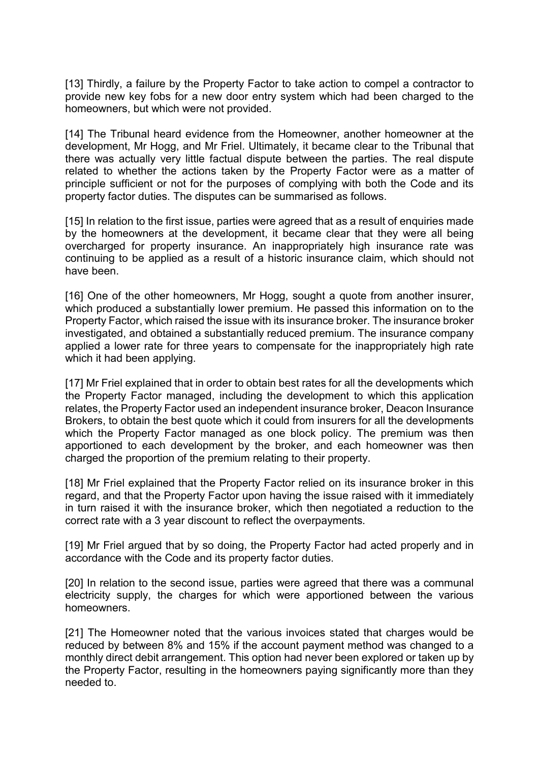[13] Thirdly, a failure by the Property Factor to take action to compel a contractor to provide new key fobs for a new door entry system which had been charged to the homeowners, but which were not provided.

[14] The Tribunal heard evidence from the Homeowner, another homeowner at the development, Mr Hogg, and Mr Friel. Ultimately, it became clear to the Tribunal that there was actually very little factual dispute between the parties. The real dispute related to whether the actions taken by the Property Factor were as a matter of principle sufficient or not for the purposes of complying with both the Code and its property factor duties. The disputes can be summarised as follows.

[15] In relation to the first issue, parties were agreed that as a result of enquiries made by the homeowners at the development, it became clear that they were all being overcharged for property insurance. An inappropriately high insurance rate was continuing to be applied as a result of a historic insurance claim, which should not have been.

[16] One of the other homeowners, Mr Hogg, sought a quote from another insurer, which produced a substantially lower premium. He passed this information on to the Property Factor, which raised the issue with its insurance broker. The insurance broker investigated, and obtained a substantially reduced premium. The insurance company applied a lower rate for three years to compensate for the inappropriately high rate which it had been applying.

[17] Mr Friel explained that in order to obtain best rates for all the developments which the Property Factor managed, including the development to which this application relates, the Property Factor used an independent insurance broker, Deacon Insurance Brokers, to obtain the best quote which it could from insurers for all the developments which the Property Factor managed as one block policy. The premium was then apportioned to each development by the broker, and each homeowner was then charged the proportion of the premium relating to their property.

[18] Mr Friel explained that the Property Factor relied on its insurance broker in this regard, and that the Property Factor upon having the issue raised with it immediately in turn raised it with the insurance broker, which then negotiated a reduction to the correct rate with a 3 year discount to reflect the overpayments.

[19] Mr Friel argued that by so doing, the Property Factor had acted properly and in accordance with the Code and its property factor duties.

[20] In relation to the second issue, parties were agreed that there was a communal electricity supply, the charges for which were apportioned between the various homeowners.

[21] The Homeowner noted that the various invoices stated that charges would be reduced by between 8% and 15% if the account payment method was changed to a monthly direct debit arrangement. This option had never been explored or taken up by the Property Factor, resulting in the homeowners paying significantly more than they needed to.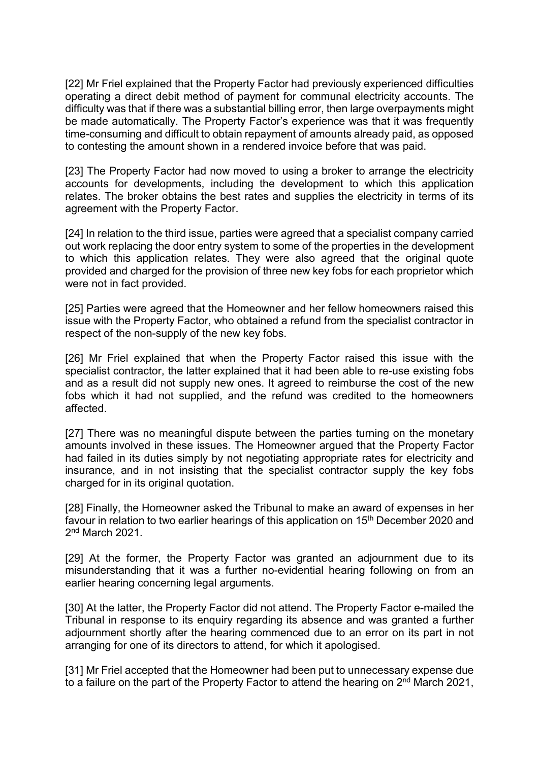[22] Mr Friel explained that the Property Factor had previously experienced difficulties operating a direct debit method of payment for communal electricity accounts. The difficulty was that if there was a substantial billing error, then large overpayments might be made automatically. The Property Factor's experience was that it was frequently time-consuming and difficult to obtain repayment of amounts already paid, as opposed to contesting the amount shown in a rendered invoice before that was paid.

[23] The Property Factor had now moved to using a broker to arrange the electricity accounts for developments, including the development to which this application relates. The broker obtains the best rates and supplies the electricity in terms of its agreement with the Property Factor.

[24] In relation to the third issue, parties were agreed that a specialist company carried out work replacing the door entry system to some of the properties in the development to which this application relates. They were also agreed that the original quote provided and charged for the provision of three new key fobs for each proprietor which were not in fact provided.

[25] Parties were agreed that the Homeowner and her fellow homeowners raised this issue with the Property Factor, who obtained a refund from the specialist contractor in respect of the non-supply of the new key fobs.

[26] Mr Friel explained that when the Property Factor raised this issue with the specialist contractor, the latter explained that it had been able to re-use existing fobs and as a result did not supply new ones. It agreed to reimburse the cost of the new fobs which it had not supplied, and the refund was credited to the homeowners affected.

[27] There was no meaningful dispute between the parties turning on the monetary amounts involved in these issues. The Homeowner argued that the Property Factor had failed in its duties simply by not negotiating appropriate rates for electricity and insurance, and in not insisting that the specialist contractor supply the key fobs charged for in its original quotation.

[28] Finally, the Homeowner asked the Tribunal to make an award of expenses in her favour in relation to two earlier hearings of this application on 15<sup>th</sup> December 2020 and 2<sup>nd</sup> March 2021.

[29] At the former, the Property Factor was granted an adjournment due to its misunderstanding that it was a further no-evidential hearing following on from an earlier hearing concerning legal arguments.

[30] At the latter, the Property Factor did not attend. The Property Factor e-mailed the Tribunal in response to its enquiry regarding its absence and was granted a further adjournment shortly after the hearing commenced due to an error on its part in not arranging for one of its directors to attend, for which it apologised.

[31] Mr Friel accepted that the Homeowner had been put to unnecessary expense due to a failure on the part of the Property Factor to attend the hearing on 2<sup>nd</sup> March 2021,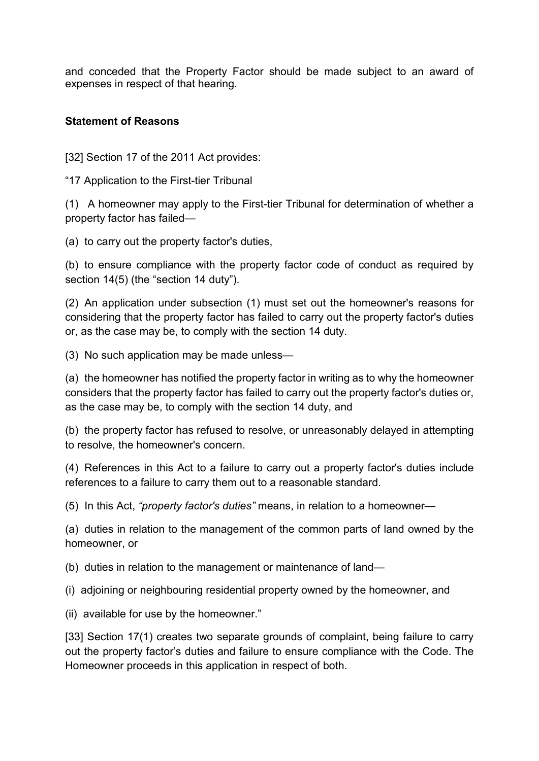and conceded that the Property Factor should be made subject to an award of expenses in respect of that hearing.

### **Statement of Reasons**

[32] Section 17 of the 2011 Act provides:

"17 Application to the First-tier Tribunal

(1) A homeowner may apply to the First-tier Tribunal for determination of whether a property factor has failed—

(a) to carry out the property factor's duties,

(b) to ensure compliance with the property factor code of conduct as required by section 14(5) (the "section 14 duty").

(2) An application under subsection (1) must set out the homeowner's reasons for considering that the property factor has failed to carry out the property factor's duties or, as the case may be, to comply with the section 14 duty.

(3) No such application may be made unless—

(a) the homeowner has notified the property factor in writing as to why the homeowner considers that the property factor has failed to carry out the property factor's duties or, as the case may be, to comply with the section 14 duty, and

(b) the property factor has refused to resolve, or unreasonably delayed in attempting to resolve, the homeowner's concern.

(4) References in this Act to a failure to carry out a property factor's duties include references to a failure to carry them out to a reasonable standard.

(5) In this Act, *"property factor's duties"* means, in relation to a homeowner—

(a) duties in relation to the management of the common parts of land owned by the homeowner, or

(b) duties in relation to the management or maintenance of land—

(i) adjoining or neighbouring residential property owned by the homeowner, and

(ii) available for use by the homeowner."

[33] Section 17(1) creates two separate grounds of complaint, being failure to carry out the property factor's duties and failure to ensure compliance with the Code. The Homeowner proceeds in this application in respect of both.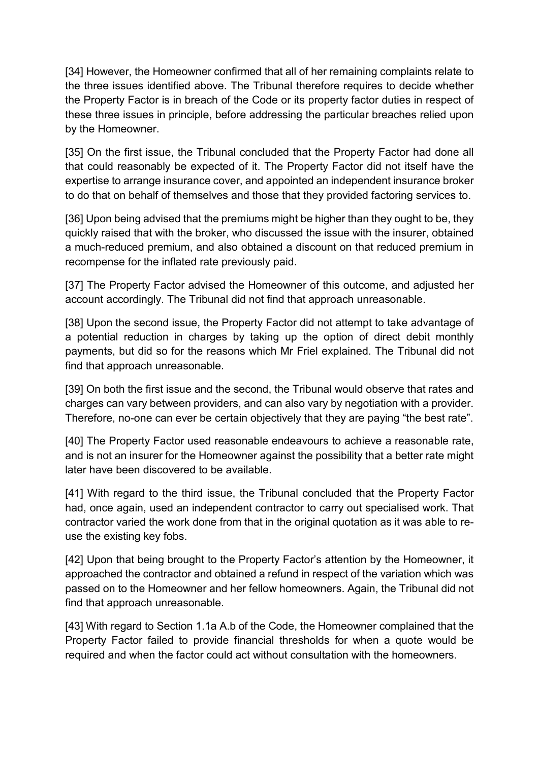[34] However, the Homeowner confirmed that all of her remaining complaints relate to the three issues identified above. The Tribunal therefore requires to decide whether the Property Factor is in breach of the Code or its property factor duties in respect of these three issues in principle, before addressing the particular breaches relied upon by the Homeowner.

[35] On the first issue, the Tribunal concluded that the Property Factor had done all that could reasonably be expected of it. The Property Factor did not itself have the expertise to arrange insurance cover, and appointed an independent insurance broker to do that on behalf of themselves and those that they provided factoring services to.

[36] Upon being advised that the premiums might be higher than they ought to be, they quickly raised that with the broker, who discussed the issue with the insurer, obtained a much-reduced premium, and also obtained a discount on that reduced premium in recompense for the inflated rate previously paid.

[37] The Property Factor advised the Homeowner of this outcome, and adjusted her account accordingly. The Tribunal did not find that approach unreasonable.

[38] Upon the second issue, the Property Factor did not attempt to take advantage of a potential reduction in charges by taking up the option of direct debit monthly payments, but did so for the reasons which Mr Friel explained. The Tribunal did not find that approach unreasonable.

[39] On both the first issue and the second, the Tribunal would observe that rates and charges can vary between providers, and can also vary by negotiation with a provider. Therefore, no-one can ever be certain objectively that they are paying "the best rate".

[40] The Property Factor used reasonable endeavours to achieve a reasonable rate, and is not an insurer for the Homeowner against the possibility that a better rate might later have been discovered to be available.

[41] With regard to the third issue, the Tribunal concluded that the Property Factor had, once again, used an independent contractor to carry out specialised work. That contractor varied the work done from that in the original quotation as it was able to reuse the existing key fobs.

[42] Upon that being brought to the Property Factor's attention by the Homeowner, it approached the contractor and obtained a refund in respect of the variation which was passed on to the Homeowner and her fellow homeowners. Again, the Tribunal did not find that approach unreasonable.

[43] With regard to Section 1.1a A.b of the Code, the Homeowner complained that the Property Factor failed to provide financial thresholds for when a quote would be required and when the factor could act without consultation with the homeowners.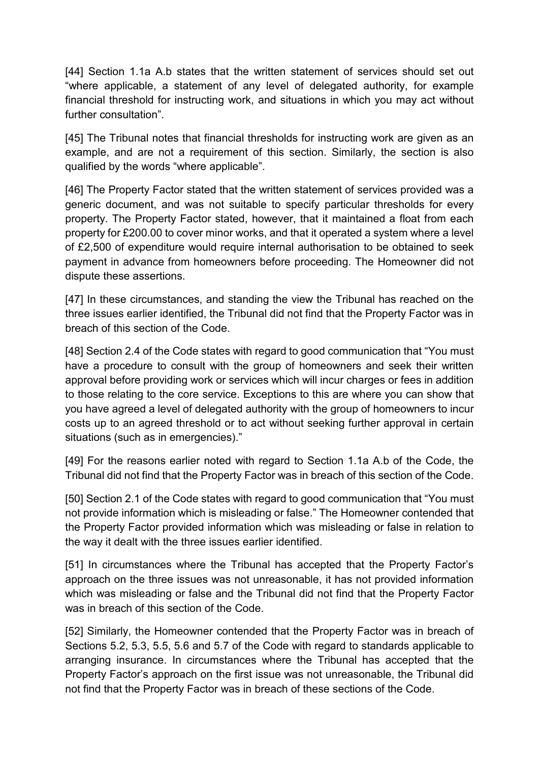[44] Section 1.1a A.b states that the written statement of services should set out "where applicable, a statement of any level of delegated authority, for example financial threshold for instructing work, and situations in which you may act without further consultation".

[45] The Tribunal notes that financial thresholds for instructing work are given as an example, and are not a requirement of this section. Similarly, the section is also qualified by the words "where applicable".

[46] The Property Factor stated that the written statement of services provided was a generic document, and was not suitable to specify particular thresholds for every property. The Property Factor stated, however, that it maintained a float from each property for £200.00 to cover minor works, and that it operated a system where a level of £2,500 of expenditure would require internal authorisation to be obtained to seek payment in advance from homeowners before proceeding. The Homeowner did not dispute these assertions.

[47] In these circumstances, and standing the view the Tribunal has reached on the three issues earlier identified, the Tribunal did not find that the Property Factor was in breach of this section of the Code.

[48] Section 2.4 of the Code states with regard to good communication that "You must have a procedure to consult with the group of homeowners and seek their written approval before providing work or services which will incur charges or fees in addition to those relating to the core service. Exceptions to this are where you can show that you have agreed a level of delegated authority with the group of homeowners to incur costs up to an agreed threshold or to act without seeking further approval in certain situations (such as in emergencies)."

[49] For the reasons earlier noted with regard to Section 1.1a A.b of the Code, the Tribunal did not find that the Property Factor was in breach of this section of the Code.

[50] Section 2.1 of the Code states with regard to good communication that "You must not provide information which is misleading or false." The Homeowner contended that the Property Factor provided information which was misleading or false in relation to the way it dealt with the three issues earlier identified.

[51] In circumstances where the Tribunal has accepted that the Property Factor's approach on the three issues was not unreasonable, it has not provided information which was misleading or false and the Tribunal did not find that the Property Factor was in breach of this section of the Code.

[52] Similarly, the Homeowner contended that the Property Factor was in breach of Sections 5.2, 5.3, 5.5, 5.6 and 5.7 of the Code with regard to standards applicable to arranging insurance. In circumstances where the Tribunal has accepted that the Property Factor's approach on the first issue was not unreasonable, the Tribunal did not find that the Property Factor was in breach of these sections of the Code.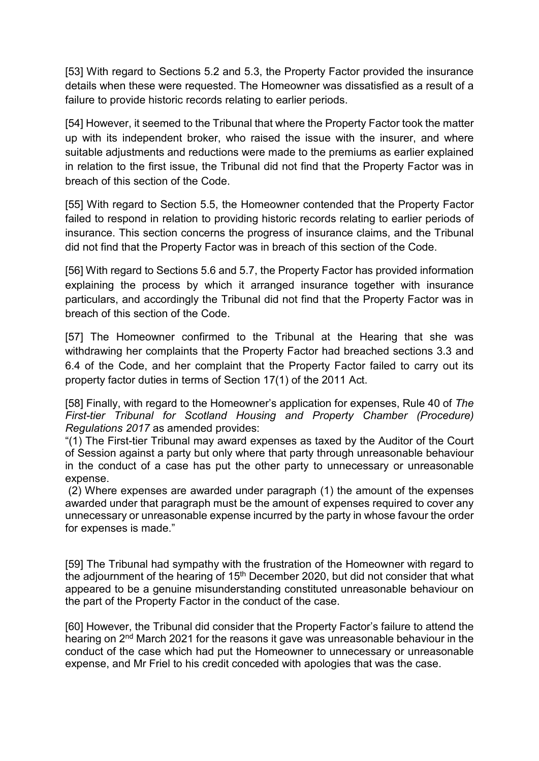[53] With regard to Sections 5.2 and 5.3, the Property Factor provided the insurance details when these were requested. The Homeowner was dissatisfied as a result of a failure to provide historic records relating to earlier periods.

[54] However, it seemed to the Tribunal that where the Property Factor took the matter up with its independent broker, who raised the issue with the insurer, and where suitable adjustments and reductions were made to the premiums as earlier explained in relation to the first issue, the Tribunal did not find that the Property Factor was in breach of this section of the Code.

[55] With regard to Section 5.5, the Homeowner contended that the Property Factor failed to respond in relation to providing historic records relating to earlier periods of insurance. This section concerns the progress of insurance claims, and the Tribunal did not find that the Property Factor was in breach of this section of the Code.

[56] With regard to Sections 5.6 and 5.7, the Property Factor has provided information explaining the process by which it arranged insurance together with insurance particulars, and accordingly the Tribunal did not find that the Property Factor was in breach of this section of the Code.

[57] The Homeowner confirmed to the Tribunal at the Hearing that she was withdrawing her complaints that the Property Factor had breached sections 3.3 and 6.4 of the Code, and her complaint that the Property Factor failed to carry out its property factor duties in terms of Section 17(1) of the 2011 Act.

[58] Finally, with regard to the Homeowner's application for expenses, Rule 40 of *The First-tier Tribunal for Scotland Housing and Property Chamber (Procedure) Regulations 2017* as amended provides:

"(1) The First-tier Tribunal may award expenses as taxed by the Auditor of the Court of Session against a party but only where that party through unreasonable behaviour in the conduct of a case has put the other party to unnecessary or unreasonable expense.

(2) Where expenses are awarded under paragraph (1) the amount of the expenses awarded under that paragraph must be the amount of expenses required to cover any unnecessary or unreasonable expense incurred by the party in whose favour the order for expenses is made."

[59] The Tribunal had sympathy with the frustration of the Homeowner with regard to the adjournment of the hearing of  $15<sup>th</sup>$  December 2020, but did not consider that what appeared to be a genuine misunderstanding constituted unreasonable behaviour on the part of the Property Factor in the conduct of the case.

[60] However, the Tribunal did consider that the Property Factor's failure to attend the hearing on 2nd March 2021 for the reasons it gave was unreasonable behaviour in the conduct of the case which had put the Homeowner to unnecessary or unreasonable expense, and Mr Friel to his credit conceded with apologies that was the case.